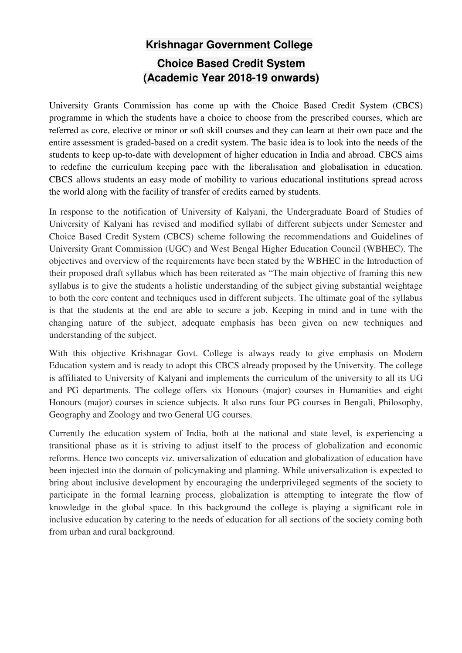## **Krishnagar Government College Choice Based Credit System (Academic Year 2018-19 onwards)**

University Grants Commission has come up with the Choice Based Credit System (CBCS) programme in which the students have a choice to choose from the prescribed courses, which are referred as core, elective or minor or soft skill courses and they can learn at their own pace and the entire assessment is graded-based on a credit system. The basic idea is to look into the needs of the students to keep up-to-date with development of higher education in India and abroad. CBCS aims to redefine the curriculum keeping pace with the liberalisation and globalisation in education. CBCS allows students an easy mode of mobility to various educational institutions spread across the world along with the facility of transfer of credits earned by students.

In response to the notification of University of Kalyani, the Undergraduate Board of Studies of University of Kalyani has revised and modified syllabi of different subjects under Semester and Choice Based Credit System (CBCS) scheme following the recommendations and Guidelines of University Grant Commission (UGC) and West Bengal Higher Education Council (WBHEC). The objectives and overview of the requirements have been stated by the WBHEC in the Introduction of their proposed draft syllabus which has been reiterated as "The main objective of framing this new syllabus is to give the students a holistic understanding of the subject giving substantial weightage to both the core content and techniques used in different subjects. The ultimate goal of the syllabus is that the students at the end are able to secure a job. Keeping in mind and in tune with the changing nature of the subject, adequate emphasis has been given on new techniques and understanding of the subject.

With this objective Krishnagar Govt. College is always ready to give emphasis on Modern Education system and is ready to adopt this CBCS already proposed by the University. The college is affiliated to University of Kalyani and implements the curriculum of the university to all its UG and PG departments. The college offers six Honours (major) courses in Humanities and eight Honours (major) courses in science subjects. It also runs four PG courses in Bengali, Philosophy, Geography and Zoology and two General UG courses.

Currently the education system of India, both at the national and state level, is experiencing a transitional phase as it is striving to adjust itself to the process of globalization and economic reforms. Hence two concepts viz. universalization of education and globalization of education have been injected into the domain of policymaking and planning. While universalization is expected to bring about inclusive development by encouraging the underprivileged segments of the society to participate in the formal learning process, globalization is attempting to integrate the flow of knowledge in the global space. In this background the college is playing a significant role in inclusive education by catering to the needs of education for all sections of the society coming both from urban and rural background.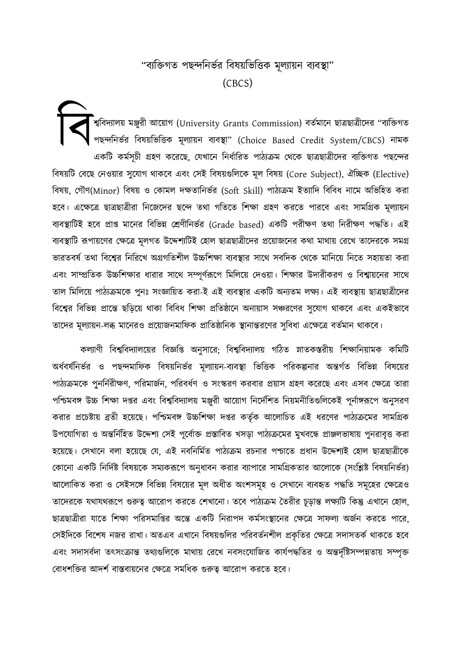## "ব্যক্তিগত পছন্দনির্ভর বিষয়ভিত্তিক মূল্যায়ন ব্যবস্থা"  $(CBCS)$

ীশ্ববিদ্যালয় মঞ্জুরী আয়োগ (University Grants Commission) বর্তমানে ছাত্রছাত্রীদের ''ব্যক্তিগত পছন্দনিৰ্ভর বিষয়ভিত্তিক মূল্যায়ন ব্যবস্থা" (Choice Based Credit System/CBCS) নামক একটি কর্মসূচী গ্রহণ করেছে, যেখানে নির্ধারিত পাঠ্যক্রম থেকে ছাত্রছাত্রীদের ব্যক্তিগত পছন্দের বিষয়টি বেছে নেওয়ার সুযোগ থাকবে এবং সেই বিষয়গুলিকে মূল বিষয় (Core Subject), ঐচ্ছিক (Elective) বিষয়, গৌণ(Minor) বিষয় ও কোমল দক্ষতানিৰ্ভর (Soft Skill) পাঠ্যক্রম ইত্যাদি বিবিধ নামে অভিহিত করা হবে। এক্ষেত্রে ছাত্রছাত্রীরা নিজেদের ছন্দে তথা গতিতে শিক্ষা গ্রহণ করতে পারবে এবং সামগ্রিক মূল্যায়ন ব্যবস্থাটিই হবে প্রাপ্ত মানের বিভিন্ন শ্রেণীনির্ভর (Grade based) একটি পরীক্ষণ তথা নিরীক্ষণ পদ্ধতি। এই ব্যবস্থাটি রূপায়ণের ক্ষেত্রে মূলগত উদ্দেশ্যটিই হোল ছাত্রছাত্রীদের প্রয়োজনের কথা মাথায় রেখে তাদেরকে সমগ্র ভারতবর্ষ তথা বিশ্বের নিরিখে অগ্রগতিশীল উচ্চশিক্ষা ব্যবস্থার সাথে সবদিক থেকে মানিয়ে নিতে সহায়তা করা এবং সাম্প্রতিক উচ্চশিক্ষার ধারার সাথে সম্পূর্ণরূপে মিলিয়ে দেওয়া। শিক্ষার উদারীকরণ ও বিশ্বায়নের সাথে তাল মিলিয়ে পাঠ্যক্রমকে পুনঃ সংজ্ঞায়িত করা-ই এই ব্যবস্থার একটি অন্যতম লক্ষ্য। এই ব্যবস্থায় ছাত্রছাত্রীদের বিশ্বের বিভিন্ন প্রান্তে ছড়িয়ে থাকা বিবিধ শিক্ষা প্রতিষ্ঠানে অনায়াস সঞ্চরণের সুযোগ থাকবে এবং একইভাবে তাদের মূল্যায়ন-লব্ধ মানেরও প্রয়োজনমাফিক প্রাতিষ্ঠানিক স্থানান্তরণের সুবিধা এক্ষেত্রে বর্তমান থাকবে।

কল্যাণী বিশ্ববিদ্যালয়ের বিজ্ঞপ্তি অনুসারে; বিশ্ববিদ্যালয় গঠিত স্নাতকস্তরীয় শিক্ষানিয়ামক কমিটি অর্ধবর্ষনির্ভর ও পছন্দমাফিক বিষয়নির্ভর মূল্যায়ন-ব্যবস্থা ভিত্তিক পরিকল্পনার অন্তর্গত বিভিন্ন বিষয়ের পাঠ্যক্রমকে পুনর্নিরীক্ষণ, পরিমার্জন, পরিবর্ধণ ও সংস্করণ করবার প্রয়াস গ্রহণ করেছে এবং এসব ক্ষেত্রে তারা পশ্চিমবঙ্গ উচ্চ শিক্ষা দপ্তর এবং বিশ্ববিদ্যালয় মঞ্জরী আয়োগ নির্দেশিত নিয়মনীতিগুলিকেই পূর্নাঙ্গরূপে অনুসরণ করার প্রচেষ্টায় ব্রতী হয়েছে। পশ্চিমবঙ্গ উচ্চশিক্ষা দপ্তর কর্তৃক আলোচিত এই ধরণের পাঠ্যক্রমের সামগ্রিক উপযোগিতা ও অন্তর্নিহিত উদ্দেশ্য সেই পূর্বোক্ত প্রস্তাবিত খসড়া পাঠ্যক্রমের মুখবন্ধে প্রাঞ্জলভাষায় পুনরাবৃত্ত করা হয়েছে। সেখানে বলা হয়েছে যে, এই নবনির্মিত পাঠ্যক্রম রচনার পশ্চাতে প্রধান উদ্দেশ্যই হোল ছাত্রছাত্রীকে কোনো একটি নির্দিষ্ট বিষয়কে সম্যকরূপে অনুধাবন করার ব্যাপারে সামগ্রিকতার আলোকে (সংশ্লিষ্ট বিষয়নির্ভর) আলোকিত করা ও সেইসঙ্গে বিভিন্ন বিষয়ের মূল অধীত অংশসমূহ ও সেখানে ব্যবহৃত পদ্ধতি সমূহের ক্ষেত্রেও তাদেরকে যথাযথরূপে গুরুত্ব আরোপ করতে শেখানো। তবে পাঠ্যক্রম তৈরীর চূড়ান্ত লক্ষ্যটি কিন্তু এখানে হোল, ছাত্রছাত্রীরা যাতে শিক্ষা পরিসমাপ্তির অন্তে একটি নিরাপদ কর্মসংস্থানের ক্ষেত্রে সাফল্য অর্জন করতে পারে, সেইদিকে বিশেষ নজর রাখা। অতএব এখানে বিষয়গুলির পরিবর্তনশীল প্রকৃতির ক্ষেত্রে সদাসতর্ক থাকতে হবে এবং সদাসর্বদা তৎসংক্রান্ত তথ্যগুলিকে মাথায় রেখে নবসংযোজিত কার্যপদ্ধতির ও অন্তর্দৃষ্টিসম্পন্নতায় সম্পৃক্ত বোধশক্তির আদর্শ বাস্তবায়নের ক্ষেত্রে সমধিক গুরুত্ব আরোপ করতে হবে।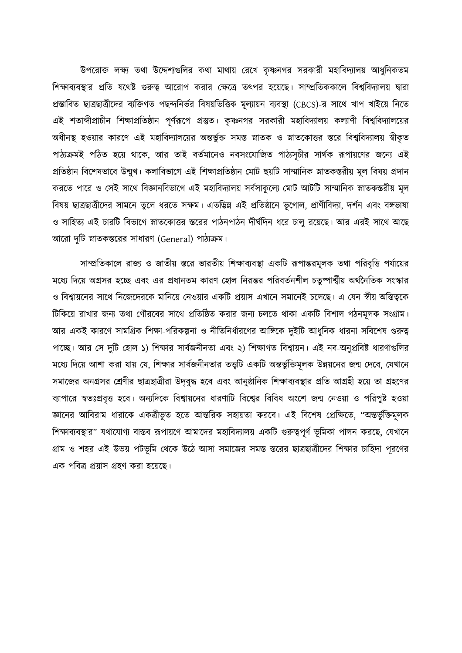উপরোক্ত লক্ষ্য তথা উদ্দেশ্যগুলির কথা মাথায় রেখে কৃষ্ণনগর সরকারী মহাবিদ্যালয় আধুনিকতম শিক্ষাব্যবস্থার প্রতি যথেষ্ট গুরুত্ব আরোপ করার ক্ষেত্রে তৎপর হয়েছে। সাম্প্রতিককালে বিশ্ববিদ্যালয় দ্বারা প্রস্তাবিত ছাত্রছাত্রীদের ব্যক্তিগত পছন্দনির্ভর বিষয়ভিত্তিক মূল্যায়ন ব্যবস্থা (CBCS)-র সাথে খাপ খাইয়ে নিতে এই শতাব্দীপ্রাচীন শিক্ষাপ্রতিষ্ঠান পূর্ণরূপে প্রস্তুত। কৃষ্ণনগর সরকারী মহাবিদ্যালয় কল্যাণী বিশ্ববিদ্যালয়ের অধীনস্থ হওয়ার কারণে এই মহাবিদ্যালয়ের অন্তর্ভুক্ত সমস্ত স্নাতক ও স্নাতকোত্তর স্তরে বিশ্ববিদ্যালয় স্বীকৃত পাঠ্যক্রমই পঠিত হয়ে থাকে, আর তাই বর্তমানেও নবসংযোজিত পাঠ্যসূচীর সার্থক রূপায়ণের জন্যে এই প্রতিষ্ঠান বিশেষভাবে উন্মুখ। কলাবিভাগে এই শিক্ষাপ্রতিষ্ঠান মোট ছয়টি সাম্মানিক স্নাতকস্তরীয় মূল বিষয় প্রদান করতে পারে ও সেই সাথে বিজ্ঞানবিভাগে এই মহাবিদ্যালয় সর্বসাকুল্যে মোট আটটি সাম্মানিক স্নাতকস্তরীয় মূল বিষয় ছাত্রছাত্রীদের সামনে তুলে ধরতে সক্ষম। এতদ্ভিন্ন এই প্রতিষ্ঠানে ভূগোল, প্রাণীবিদ্যা, দর্শন এবং বঙ্গভাষা ও সাহিত্য এই চারটি বিভাগে স্নাতকোত্তর স্তরের পাঠনপাঠন দীর্ঘদিন ধরে চালু রয়েছে। আর এরই সাথে আছে আরো দুটি স্নাতকস্তরের সাধারণ (General) পাঠ্যক্রম।

সাম্প্রতিকালে রাজ্য ও জাতীয় স্তরে ভারতীয় শিক্ষাব্যবস্থা একটি রূপান্তরমূলক তথা পরিবৃত্তি পর্যায়ের মধ্যে দিয়ে অগ্রসর হচ্ছে এবং এর প্রধানতম কারণ হোল নিরন্তর পরিবর্তনশীল চতুষ্পার্শ্বীয় অর্থনৈতিক সংস্কার ও বিশ্বায়নের সাথে নিজেদেরকে মানিয়ে নেওয়ার একটি প্রয়াস এখানে সমানেই চলেছে। এ যেন স্বীয় অস্তিত্বকে টিকিয়ে রাখার জন্য তথা গৌরবের সাথে প্রতিষ্ঠিত করার জন্য চলতে থাকা একটি বিশাল গঠনমূলক সংগ্রাম। আর একই কারণে সামগ্রিক শিক্ষা-পরিকল্পনা ও নীতিনির্ধারণের আঙ্গিকে দুইটি আধুনিক ধারনা সবিশেষ গুরুত্ব পাচ্ছে। আর সে দুটি হোল ১) শিক্ষার সার্বজনীনতা এবং ২) শিক্ষাগত বিশ্বায়ন। এই নব-অনুপ্রবিষ্ট ধারণাগুলির মধ্যে দিয়ে আশা করা যায় যে, শিক্ষার সার্বজনীনতার তত্ত্বটি একটি অন্তর্ভুক্তিমূলক উন্নয়নের জন্ম দেবে, যেখানে সমাজের অনগ্রসর শ্রেণীর ছাত্রছাত্রীরা উদবুদ্ধ হবে এবং আনুষ্ঠানিক শিক্ষাব্যবস্থার প্রতি আগ্রহী হয়ে তা গ্রহণের ব্যাপারে স্বতঃপ্রবৃত্ত হবে। অন্যদিকে বিশ্বায়নের ধারণাটি বিশ্বের বিবিধ অংশে জন্ম নেওয়া ও পরিপুষ্ট হওয়া জ্ঞানের আবিরাম ধারাকে একত্রীভূত হতে আন্তরিক সহায়তা করবে। এই বিশেষ প্রেক্ষিতে, ''অন্তর্ভুক্তিমূলক শিক্ষাব্যবস্থার" যথাযোগ্য বাস্তব রূপায়ণে আমাদের মহাবিদ্যালয় একটি গুরুত্বপূর্ণ ভূমিকা পালন করছে, যেখানে গ্রাম ও শহর এই উভয় পটভূমি থেকে উঠে আসা সমাজের সমস্ত স্তরের ছাত্রছাত্রীদের শিক্ষার চাহিদা পূরণের এক পবিত্র প্রয়াস গ্রহণ করা হয়েছে।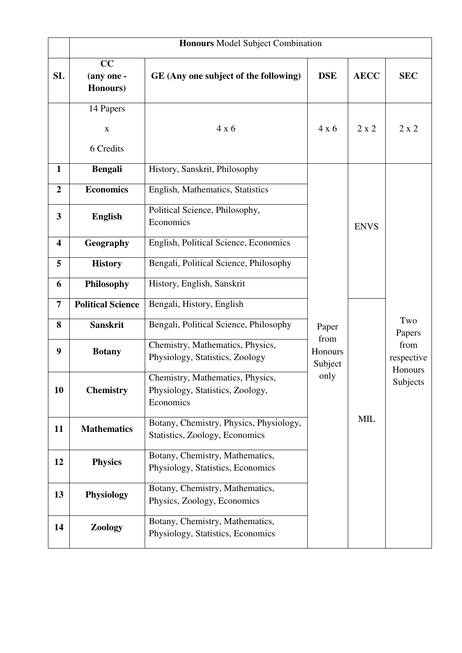|                         | <b>Honours</b> Model Subject Combination |                                                                                   |                            |              |                                                            |  |  |  |  |  |
|-------------------------|------------------------------------------|-----------------------------------------------------------------------------------|----------------------------|--------------|------------------------------------------------------------|--|--|--|--|--|
| <b>SL</b>               | CC<br>(any one -<br>Honours)             | GE (Any one subject of the following)                                             | <b>DSE</b>                 | <b>AECC</b>  | <b>SEC</b>                                                 |  |  |  |  |  |
|                         | 14 Papers                                |                                                                                   |                            |              |                                                            |  |  |  |  |  |
|                         | $\mathbf X$                              | 4x6                                                                               | 4x6                        | $2 \times 2$ | $2 \times 2$                                               |  |  |  |  |  |
|                         | 6 Credits                                |                                                                                   |                            |              |                                                            |  |  |  |  |  |
| $\mathbf{1}$            | <b>Bengali</b>                           | History, Sanskrit, Philosophy                                                     |                            | <b>ENVS</b>  | Two<br>Papers<br>from<br>respective<br>Honours<br>Subjects |  |  |  |  |  |
| $\overline{2}$          | <b>Economics</b>                         | English, Mathematics, Statistics                                                  |                            |              |                                                            |  |  |  |  |  |
| $\overline{\mathbf{3}}$ | <b>English</b>                           | Political Science, Philosophy,<br>Economics                                       |                            |              |                                                            |  |  |  |  |  |
| $\overline{\mathbf{4}}$ | Geography                                | English, Political Science, Economics                                             |                            |              |                                                            |  |  |  |  |  |
| 5                       | <b>History</b>                           | Bengali, Political Science, Philosophy                                            |                            |              |                                                            |  |  |  |  |  |
| 6                       | Philosophy                               | History, English, Sanskrit                                                        |                            |              |                                                            |  |  |  |  |  |
| $\overline{7}$          | <b>Political Science</b>                 | Bengali, History, English                                                         |                            | <b>MIL</b>   |                                                            |  |  |  |  |  |
| 8                       | <b>Sanskrit</b>                          | Bengali, Political Science, Philosophy                                            | Paper                      |              |                                                            |  |  |  |  |  |
| 9                       | <b>Botany</b>                            | Chemistry, Mathematics, Physics,<br>Physiology, Statistics, Zoology               | from<br>Honours<br>Subject |              |                                                            |  |  |  |  |  |
| 10                      | <b>Chemistry</b>                         | Chemistry, Mathematics, Physics,<br>Physiology, Statistics, Zoology,<br>Economics | only                       |              |                                                            |  |  |  |  |  |
| 11                      | <b>Mathematics</b>                       | Botany, Chemistry, Physics, Physiology,<br>Statistics, Zoology, Economics         |                            |              |                                                            |  |  |  |  |  |
| 12                      | <b>Physics</b>                           | Botany, Chemistry, Mathematics,<br>Physiology, Statistics, Economics              |                            |              |                                                            |  |  |  |  |  |
| 13                      | <b>Physiology</b>                        | Botany, Chemistry, Mathematics,<br>Physics, Zoology, Economics                    |                            |              |                                                            |  |  |  |  |  |
| 14                      | Zoology                                  | Botany, Chemistry, Mathematics,<br>Physiology, Statistics, Economics              |                            |              |                                                            |  |  |  |  |  |